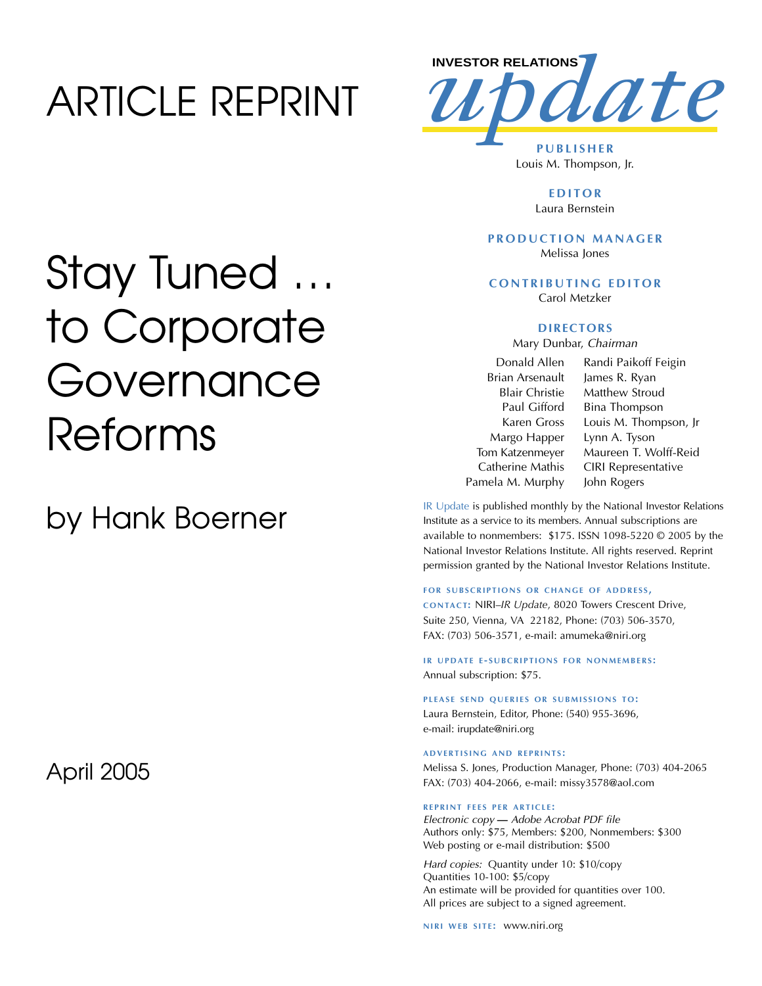## ARTICLE REPRINT



Louis M. Thompson, Jr.

**EDITOR** Laura Bernstein

#### **PRODUCTION MANAGER** Melissa Jones

**CONTRIBUTING EDITOR** Carol Metzker

#### **DIRECTORS**

Mary Dunbar, *Chairman*

Donald Allen Brian Arsenault Blair Christie Paul Gifford Karen Gross Margo Happer Tom Katzenmeyer Catherine Mathis Pamela M. Murphy

Randi Paikoff Feigin James R. Ryan Matthew Stroud Bina Thompson Louis M. Thompson, Jr Lynn A. Tyson Maureen T. Wolff-Reid CIRI Representative John Rogers

IR Update is published monthly by the National Investor Relations Institute as a service to its members. Annual subscriptions are available to nonmembers: \$175. ISSN 1098-5220 © 2005 by the National Investor Relations Institute. All rights reserved. Reprint permission granted by the National Investor Relations Institute.

#### **FOR SUBSCRIPTIONS OR CHANGE OF ADDRESS,**

**CONTACT:** NIRI–*IR Update*, 8020 Towers Crescent Drive, Suite 250, Vienna, VA 22182, Phone: (703) 506-3570, FAX: (703) 506-3571, e-mail: amumeka@niri.org

**IR UPDATE E-SUBCRIPTIONS FOR NONMEMBERS:** Annual subscription: \$75.

PLEASE SEND QUERIES OR SUBMISSIONS TO: Laura Bernstein, Editor, Phone: (540) 955-3696, e-mail: irupdate@niri.org

#### **ADVERTISING AND REPRINTS :**

Melissa S. Jones, Production Manager, Phone: (703) 404-2065 FAX: (703) 404-2066, e-mail: missy3578@aol.com

#### **REPRINT FEES PER ARTICLE :**

*Electronic copy* **—** *Adobe Acrobat PDF file*  Authors only: \$75, Members: \$200, Nonmembers: \$300 Web posting or e-mail distribution: \$500

*Hard copies:* Quantity under 10: \$10/copy Quantities 10-100: \$5/copy An estimate will be provided for quantities over 100. All prices are subject to a signed agreement.

**NIRI WEB SITE: WWW.niri.org** 

## Stay Tuned … to Corporate Governance Reforms

by Hank Boerner

April 2005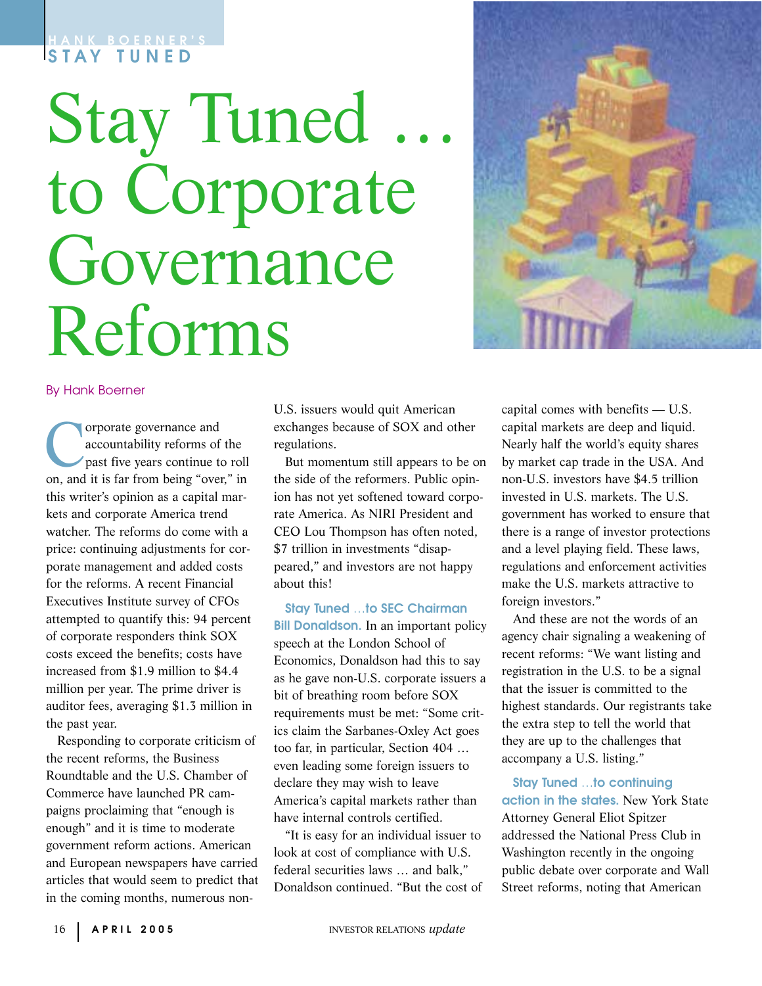### **HANK BOERNER'S STAY TUNED**

# **Stay Tuned** to Corporate Governance Reforms



#### By Hank Boerner

Corporate governance and<br>accountability reforms of<br>past five years continue to an and it is for from being "over accountability reforms of the past five years continue to roll on, and it is far from being "over," in this writer's opinion as a capital markets and corporate America trend watcher. The reforms do come with a price: continuing adjustments for corporate management and added costs for the reforms. A recent Financial Executives Institute survey of CFOs attempted to quantify this: 94 percent of corporate responders think SOX costs exceed the benefits; costs have increased from \$1.9 million to \$4.4 million per year. The prime driver is auditor fees, averaging \$1.3 million in the past year.

Responding to corporate criticism of the recent reforms, the Business Roundtable and the U.S. Chamber of Commerce have launched PR campaigns proclaiming that "enough is enough" and it is time to moderate government reform actions. American and European newspapers have carried articles that would seem to predict that in the coming months, numerous non-

U.S. issuers would quit American exchanges because of SOX and other regulations.

But momentum still appears to be on the side of the reformers. Public opinion has not yet softened toward corporate America. As NIRI President and CEO Lou Thompson has often noted, \$7 trillion in investments "disappeared," and investors are not happy about this!

**Stay Tuned** …**to SEC Chairman Bill Donaldson.** In an important policy speech at the London School of Economics, Donaldson had this to say as he gave non-U.S. corporate issuers a bit of breathing room before SOX requirements must be met: "Some critics claim the Sarbanes-Oxley Act goes too far, in particular, Section 404 … even leading some foreign issuers to declare they may wish to leave America's capital markets rather than have internal controls certified.

"It is easy for an individual issuer to look at cost of compliance with U.S. federal securities laws … and balk," Donaldson continued. "But the cost of

capital comes with benefits — U.S. capital markets are deep and liquid. Nearly half the world's equity shares by market cap trade in the USA. And non-U.S. investors have \$4.5 trillion invested in U.S. markets. The U.S. government has worked to ensure that there is a range of investor protections and a level playing field. These laws, regulations and enforcement activities make the U.S. markets attractive to foreign investors."

And these are not the words of an agency chair signaling a weakening of recent reforms: "We want listing and registration in the U.S. to be a signal that the issuer is committed to the highest standards. Our registrants take the extra step to tell the world that they are up to the challenges that accompany a U.S. listing."

**Stay Tuned** …**to continuing action in the states.** New York State Attorney General Eliot Spitzer addressed the National Press Club in Washington recently in the ongoing public debate over corporate and Wall Street reforms, noting that American